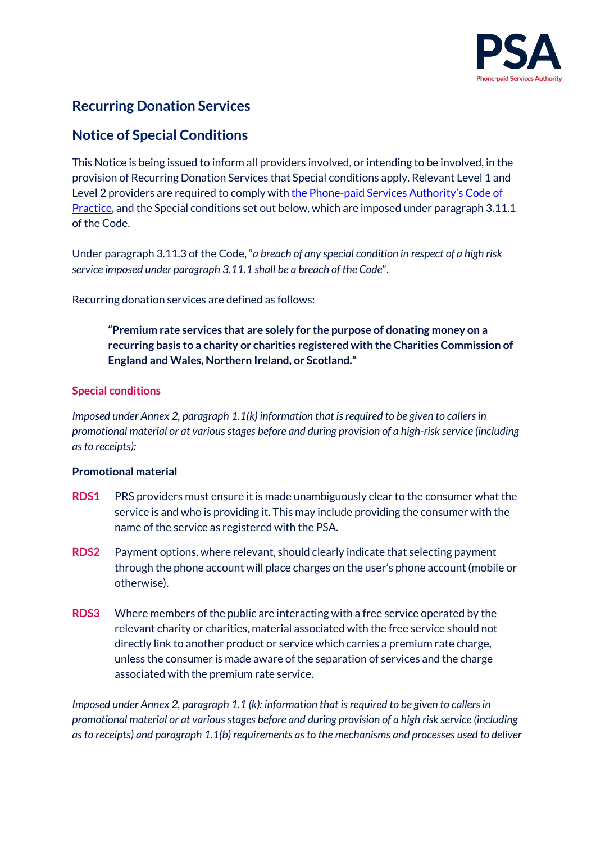

# **Recurring Donation Services**

## **Notice of Special Conditions**

This Notice is being issued to inform all providers involved, or intending to be involved, in the provision of Recurring Donation Services that Special conditions apply. Relevant Level 1 and Level 2 providers are required to comply wit[h the Phone-paid Services Authority's](http://www.psauthority.org.uk/for-business/code-of-practice) Code of [Practice,](http://www.psauthority.org.uk/for-business/code-of-practice) and the Special conditions set out below, which are imposed under paragraph 3.11.1 of the Code.

Under paragraph 3.11.3 of the Code, "*a breach of any special condition in respect of a high risk service imposed under paragraph 3.11.1 shall be a breach of the Code*".

Recurring donation services are defined as follows:

**"Premium rate services that are solely for the purpose of donating money on a recurring basis to a charity or charities registered with the Charities Commission of England and Wales, Northern Ireland, or Scotland."**

### **Special conditions**

*Imposed under Annex 2, paragraph 1.1(k) information that is required to be given to callers in promotional material or at various stages before and during provision of a high-risk service (including as to receipts):*

#### **Promotional material**

- **RDS1** PRS providers must ensure it is made unambiguously clear to the consumer what the service is and who is providing it. This may include providing the consumer with the name of the service as registered with the PSA.
- **RDS2** Payment options, where relevant, should clearly indicate that selecting payment through the phone account will place charges on the user's phone account (mobile or otherwise).
- **RDS3** Where members of the public are interacting with a free service operated by the relevant charity or charities, material associated with the free service should not directly link to another product or service which carries a premium rate charge, unless the consumer is made aware of the separation of services and the charge associated with the premium rate service.

*Imposed under Annex 2, paragraph 1.1 (k): information that is required to be given to callers in promotional material or at various stages before and during provision of a high risk service (including as to receipts) and paragraph 1.1(b) requirements as to the mechanisms and processes used to deliver*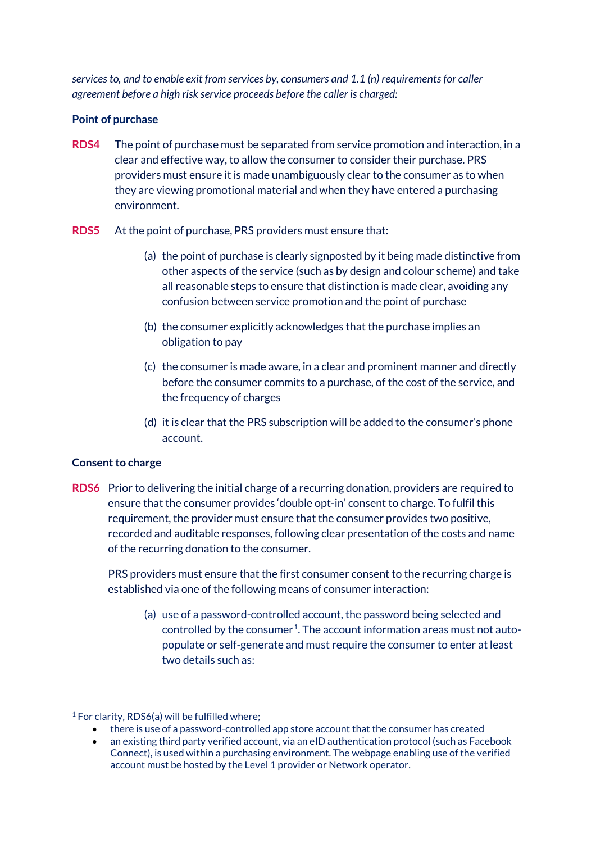*services to, and to enable exit from services by, consumers and 1.1 (n) requirements for caller agreement before a high risk service proceeds before the caller is charged:* 

#### **Point of purchase**

- **RDS4** The point of purchase must be separated from service promotion and interaction, in a clear and effective way, to allow the consumer to consider their purchase. PRS providers must ensure it is made unambiguously clear to the consumer as to when they are viewing promotional material and when they have entered a purchasing environment.
- **RDS5** At the point of purchase, PRS providers must ensure that:
	- (a) the point of purchase is clearly signposted by it being made distinctive from other aspects of the service (such as by design and colour scheme) and take all reasonable steps to ensure that distinction is made clear, avoiding any confusion between service promotion and the point of purchase
	- (b) the consumer explicitly acknowledges that the purchase implies an obligation to pay
	- (c) the consumer is made aware, in a clear and prominent manner and directly before the consumer commits to a purchase, of the cost of the service, and the frequency of charges
	- (d) it is clear that the PRS subscription will be added to the consumer's phone account.

### **Consent to charge**

**RDS6** Prior to delivering the initial charge of a recurring donation, providers are required to ensure that the consumer provides 'double opt-in' consent to charge. To fulfil this requirement, the provider must ensure that the consumer provides two positive, recorded and auditable responses, following clear presentation of the costs and name of the recurring donation to the consumer.

PRS providers must ensure that the first consumer consent to the recurring charge is established via one of the following means of consumer interaction:

(a) use of a password-controlled account, the password being selected and controlled by the consumer<sup>1</sup>. The account information areas must not autopopulate or self-generate and must require the consumer to enter at least two details such as:

- there is use of a password-controlled app store account that the consumer has created
- an existing third party verified account, via an eID authentication protocol (such as Facebook Connect), is used within a purchasing environment. The webpage enabling use of the verified account must be hosted by the Level 1 provider or Network operator.

<span id="page-1-0"></span><sup>&</sup>lt;sup>1</sup> For clarity, RDS6(a) will be fulfilled where;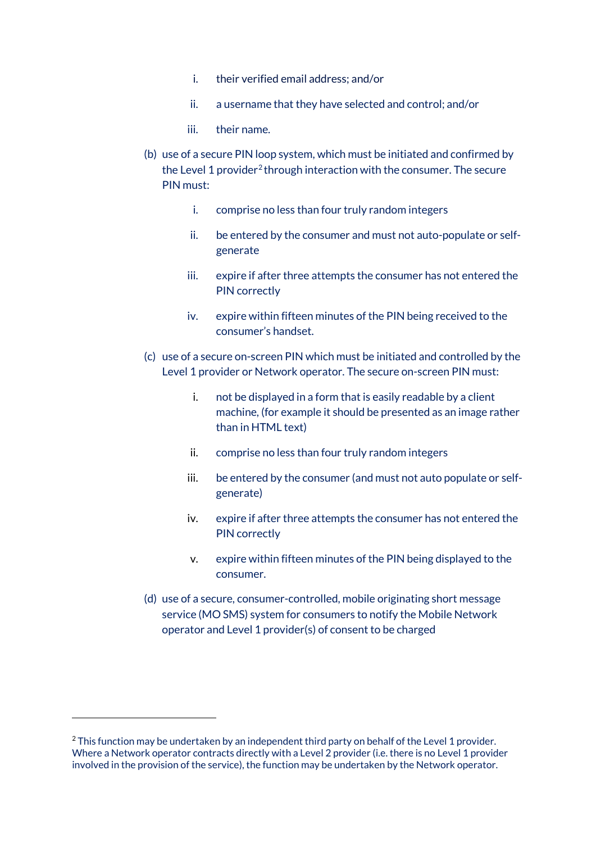- i. their verified email address; and/or
- ii. a username that they have selected and control; and/or
- iii. their name.
- (b) use of a secure PIN loop system, which must be initiated and confirmed by the Level 1 provider<sup>[2](#page-2-0)</sup> through interaction with the consumer. The secure PIN must:
	- i. comprise no less than four truly random integers
	- ii. be entered by the consumer and must not auto-populate or selfgenerate
	- iii. expire if after three attempts the consumer has not entered the PIN correctly
	- iv. expire within fifteen minutes of the PIN being received to the consumer's handset.
- (c) use of a secure on-screen PIN which must be initiated and controlled by the Level 1 provider or Network operator. The secure on-screen PIN must:
	- i. not be displayed in a form that is easily readable by a client machine, (for example it should be presented as an image rather than in HTML text)
	- ii. comprise no less than four truly random integers
	- iii. be entered by the consumer (and must not auto populate or selfgenerate)
	- iv. expire if after three attempts the consumer has not entered the PIN correctly
	- v. expire within fifteen minutes of the PIN being displayed to the consumer.
- (d) use of a secure, consumer-controlled, mobile originating short message service (MO SMS) system for consumers to notify the Mobile Network operator and Level 1 provider(s) of consent to be charged

<span id="page-2-0"></span><sup>&</sup>lt;sup>2</sup> This function may be undertaken by an independent third party on behalf of the Level 1 provider. Where a Network operator contracts directly with a Level 2 provider (i.e. there is no Level 1 provider involved in the provision of the service), the function may be undertaken by the Network operator.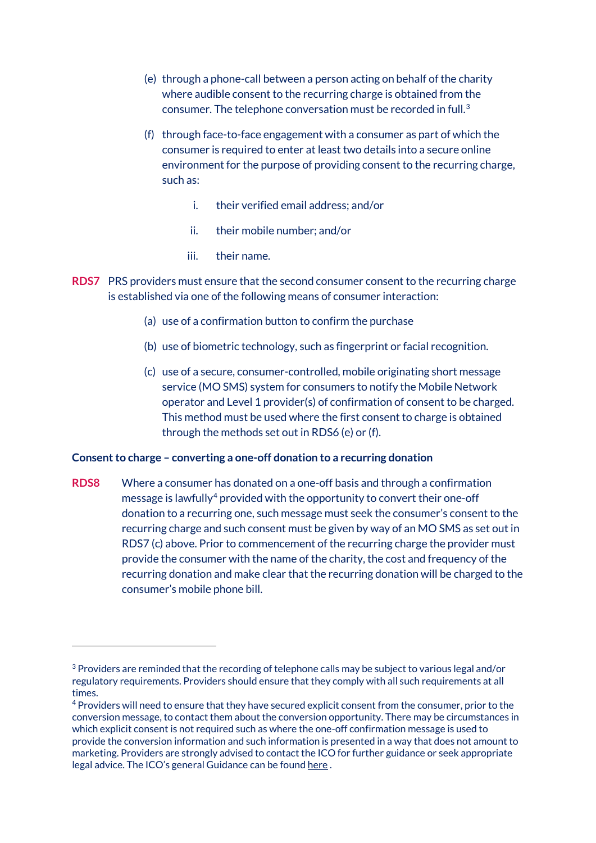- (e) through a phone-call between a person acting on behalf of the charity where audible consent to the recurring charge is obtained from the consumer. The telephone conversation must be recorded in full.[3](#page-3-0)
- (f) through face-to-face engagement with a consumer as part of which the consumer is required to enter at least two details into a secure online environment for the purpose of providing consent to the recurring charge, such as:
	- i. their verified email address; and/or
	- ii. their mobile number; and/or
	- iii. their name.
- **RDS7** PRS providers must ensure that the second consumer consent to the recurring charge is established via one of the following means of consumer interaction:
	- (a) use of a confirmation button to confirm the purchase
	- (b) use of biometric technology, such as fingerprint or facial recognition.
	- (c) use of a secure, consumer-controlled, mobile originating short message service (MO SMS) system for consumers to notify the Mobile Network operator and Level 1 provider(s) of confirmation of consent to be charged. This method must be used where the first consent to charge is obtained through the methods set out in RDS6 (e) or (f).

#### **Consent to charge – converting a one-off donation to a recurring donation**

**RDS8** Where a consumer has donated on a one-off basis and through a confirmation message is lawfully<sup>[4](#page-3-1)</sup> provided with the opportunity to convert their one-off donation to a recurring one, such message must seek the consumer's consent to the recurring charge and such consent must be given by way of an MO SMS as set out in RDS7 (c) above. Prior to commencement of the recurring charge the provider must provide the consumer with the name of the charity, the cost and frequency of the recurring donation and make clear that the recurring donation will be charged to the consumer's mobile phone bill.

<span id="page-3-0"></span> $3$  Providers are reminded that the recording of telephone calls may be subject to various legal and/or regulatory requirements. Providers should ensure that they comply with all such requirements at all times.

<span id="page-3-1"></span><sup>4</sup> Providers will need to ensure that they have secured explicit consent from the consumer, prior to the conversion message, to contact them about the conversion opportunity. There may be circumstances in which explicit consent is not required such as where the one-off confirmation message is used to provide the conversion information and such information is presented in a way that does not amount to marketing. Providers are strongly advised to contact the ICO for further guidance or seek appropriate legal advice. The ICO's general Guidance can be foun[d here](https://ico.org.uk/media/for-organisations/documents/1555/direct-marketing-guidance.pdf) .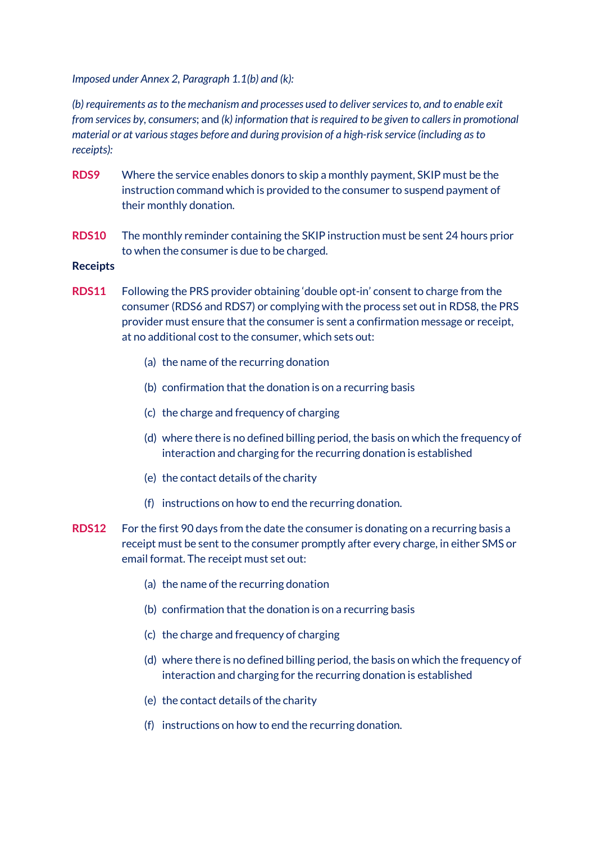*Imposed under Annex 2, Paragraph 1.1(b) and (k):* 

*(b) requirements as to the mechanism and processes used to deliver services to, and to enable exit from services by, consumers*; and *(k) information that is required to be given to callers in promotional material or at various stages before and during provision of a high-risk service (including as to receipts):* 

- **RDS9** Where the service enables donors to skip a monthly payment, SKIP must be the instruction command which is provided to the consumer to suspend payment of their monthly donation.
- **RDS10** The monthly reminder containing the SKIP instruction must be sent 24 hours prior to when the consumer is due to be charged.

#### **Receipts**

- **RDS11** Following the PRS provider obtaining 'double opt-in' consent to charge from the consumer (RDS6 and RDS7) or complying with the process set out in RDS8, the PRS provider must ensure that the consumer is sent a confirmation message or receipt, at no additional cost to the consumer, which sets out:
	- (a) the name of the recurring donation
	- (b) confirmation that the donation is on a recurring basis
	- (c) the charge and frequency of charging
	- (d) where there is no defined billing period, the basis on which the frequency of interaction and charging for the recurring donation is established
	- (e) the contact details of the charity
	- (f) instructions on how to end the recurring donation.
- **RDS12** For the first 90 days from the date the consumer is donating on a recurring basis a receipt must be sent to the consumer promptly after every charge, in either SMS or email format. The receipt must set out:
	- (a) the name of the recurring donation
	- (b) confirmation that the donation is on a recurring basis
	- (c) the charge and frequency of charging
	- (d) where there is no defined billing period, the basis on which the frequency of interaction and charging for the recurring donation is established
	- (e) the contact details of the charity
	- (f) instructions on how to end the recurring donation.